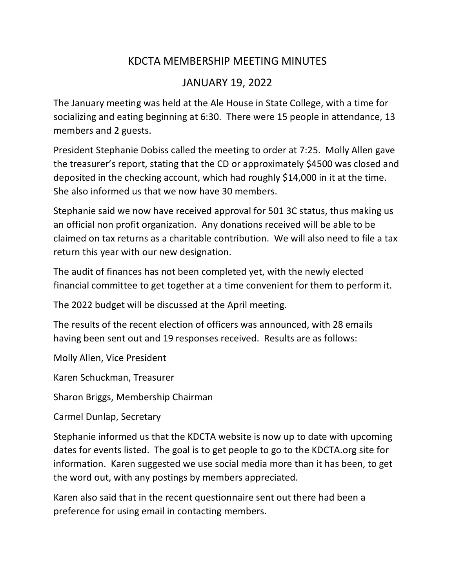## KDCTA MEMBERSHIP MEETING MINUTES

## JANUARY 19, 2022

The January meeting was held at the Ale House in State College, with a time for socializing and eating beginning at 6:30. There were 15 people in attendance, 13 members and 2 guests.

President Stephanie Dobiss called the meeting to order at 7:25. Molly Allen gave the treasurer's report, stating that the CD or approximately \$4500 was closed and deposited in the checking account, which had roughly \$14,000 in it at the time. She also informed us that we now have 30 members.

Stephanie said we now have received approval for 501 3C status, thus making us an official non profit organization. Any donations received will be able to be claimed on tax returns as a charitable contribution. We will also need to file a tax return this year with our new designation.

The audit of finances has not been completed yet, with the newly elected financial committee to get together at a time convenient for them to perform it.

The 2022 budget will be discussed at the April meeting.

The results of the recent election of officers was announced, with 28 emails having been sent out and 19 responses received. Results are as follows:

Molly Allen, Vice President

Karen Schuckman, Treasurer

Sharon Briggs, Membership Chairman

Carmel Dunlap, Secretary

Stephanie informed us that the KDCTA website is now up to date with upcoming dates for events listed. The goal is to get people to go to the KDCTA.org site for information. Karen suggested we use social media more than it has been, to get the word out, with any postings by members appreciated.

Karen also said that in the recent questionnaire sent out there had been a preference for using email in contacting members.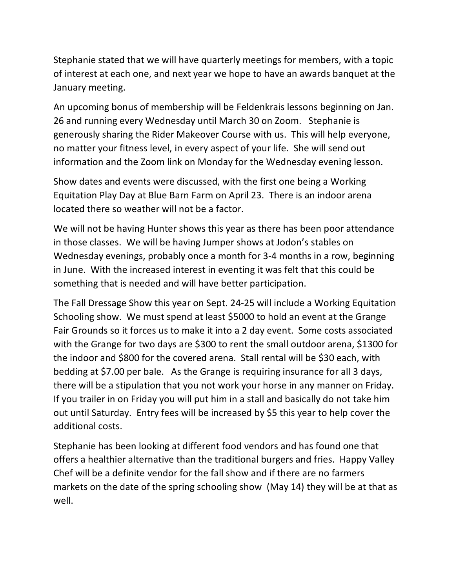Stephanie stated that we will have quarterly meetings for members, with a topic of interest at each one, and next year we hope to have an awards banquet at the January meeting.

An upcoming bonus of membership will be Feldenkrais lessons beginning on Jan. 26 and running every Wednesday until March 30 on Zoom. Stephanie is generously sharing the Rider Makeover Course with us. This will help everyone, no matter your fitness level, in every aspect of your life. She will send out information and the Zoom link on Monday for the Wednesday evening lesson.

Show dates and events were discussed, with the first one being a Working Equitation Play Day at Blue Barn Farm on April 23. There is an indoor arena located there so weather will not be a factor.

We will not be having Hunter shows this year as there has been poor attendance in those classes. We will be having Jumper shows at Jodon's stables on Wednesday evenings, probably once a month for 3-4 months in a row, beginning in June. With the increased interest in eventing it was felt that this could be something that is needed and will have better participation.

The Fall Dressage Show this year on Sept. 24-25 will include a Working Equitation Schooling show. We must spend at least \$5000 to hold an event at the Grange Fair Grounds so it forces us to make it into a 2 day event. Some costs associated with the Grange for two days are \$300 to rent the small outdoor arena, \$1300 for the indoor and \$800 for the covered arena. Stall rental will be \$30 each, with bedding at \$7.00 per bale. As the Grange is requiring insurance for all 3 days, there will be a stipulation that you not work your horse in any manner on Friday. If you trailer in on Friday you will put him in a stall and basically do not take him out until Saturday. Entry fees will be increased by \$5 this year to help cover the additional costs.

Stephanie has been looking at different food vendors and has found one that offers a healthier alternative than the traditional burgers and fries. Happy Valley Chef will be a definite vendor for the fall show and if there are no farmers markets on the date of the spring schooling show (May 14) they will be at that as well.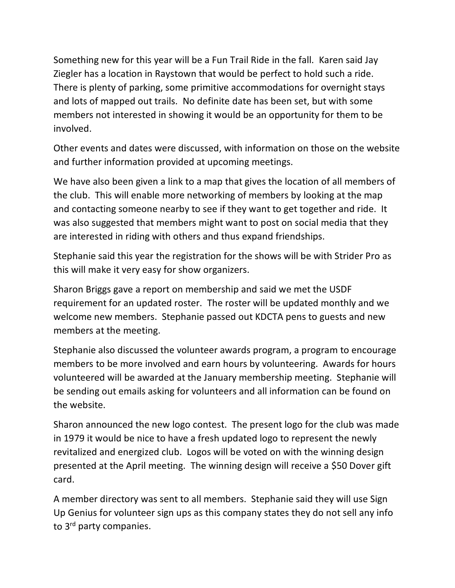Something new for this year will be a Fun Trail Ride in the fall. Karen said Jay Ziegler has a location in Raystown that would be perfect to hold such a ride. There is plenty of parking, some primitive accommodations for overnight stays and lots of mapped out trails. No definite date has been set, but with some members not interested in showing it would be an opportunity for them to be involved.

Other events and dates were discussed, with information on those on the website and further information provided at upcoming meetings.

We have also been given a link to a map that gives the location of all members of the club. This will enable more networking of members by looking at the map and contacting someone nearby to see if they want to get together and ride. It was also suggested that members might want to post on social media that they are interested in riding with others and thus expand friendships.

Stephanie said this year the registration for the shows will be with Strider Pro as this will make it very easy for show organizers.

Sharon Briggs gave a report on membership and said we met the USDF requirement for an updated roster. The roster will be updated monthly and we welcome new members. Stephanie passed out KDCTA pens to guests and new members at the meeting.

Stephanie also discussed the volunteer awards program, a program to encourage members to be more involved and earn hours by volunteering. Awards for hours volunteered will be awarded at the January membership meeting. Stephanie will be sending out emails asking for volunteers and all information can be found on the website.

Sharon announced the new logo contest. The present logo for the club was made in 1979 it would be nice to have a fresh updated logo to represent the newly revitalized and energized club. Logos will be voted on with the winning design presented at the April meeting. The winning design will receive a \$50 Dover gift card.

A member directory was sent to all members. Stephanie said they will use Sign Up Genius for volunteer sign ups as this company states they do not sell any info to 3<sup>rd</sup> party companies.